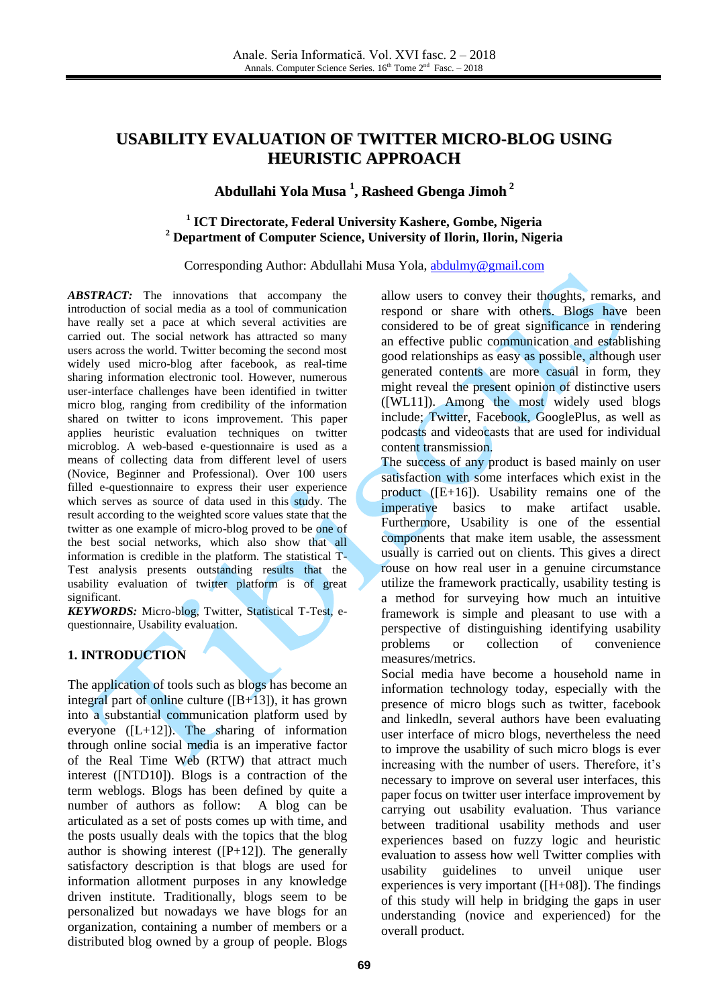# **USABILITY EVALUATION OF TWITTER MICRO-BLOG USING HEURISTIC APPROACH**

# **Abdullahi Yola Musa 1 , Rasheed Gbenga Jimoh 2**

# **1 ICT Directorate, Federal University Kashere, Gombe, Nigeria <sup>2</sup> Department of Computer Science, University of Ilorin, Ilorin, Nigeria**

#### Corresponding Author: Abdullahi Musa Yola, [abdulmy@gmail.com](mailto:abdulmy@gmail.com)

*ABSTRACT:* The innovations that accompany the introduction of social media as a tool of communication have really set a pace at which several activities are carried out. The social network has attracted so many users across the world. Twitter becoming the second most widely used micro-blog after facebook, as real-time sharing information electronic tool. However, numerous user-interface challenges have been identified in twitter micro blog, ranging from credibility of the information shared on twitter to icons improvement. This paper applies heuristic evaluation techniques on twitter microblog. A web-based e-questionnaire is used as a means of collecting data from different level of users (Novice, Beginner and Professional). Over 100 users filled e-questionnaire to express their user experience which serves as source of data used in this study. The result according to the weighted score values state that the twitter as one example of micro-blog proved to be one of the best social networks, which also show that all information is credible in the platform. The statistical T-Test analysis presents outstanding results that the usability evaluation of twitter platform is of great significant.

*KEYWORDS:* Micro-blog, Twitter, Statistical T-Test, equestionnaire, Usability evaluation.

# **1. INTRODUCTION**

The application of tools such as blogs has become an integral part of online culture  $([B+13])$ , it has grown into a substantial communication platform used by everyone  $([L+12])$ . The sharing of information through online social media is an imperative factor of the Real Time Web (RTW) that attract much interest ([NTD10]). Blogs is a contraction of the term weblogs. Blogs has been defined by quite a number of authors as follow: A blog can be articulated as a set of posts comes up with time, and the posts usually deals with the topics that the blog author is showing interest  $([P+12])$ . The generally satisfactory description is that blogs are used for information allotment purposes in any knowledge driven institute. Traditionally, blogs seem to be personalized but nowadays we have blogs for an organization, containing a number of members or a distributed blog owned by a group of people. Blogs allow users to convey their thoughts, remarks, and respond or share with others. Blogs have been considered to be of great significance in rendering an effective public communication and establishing good relationships as easy as possible, although user generated contents are more casual in form, they might reveal the present opinion of distinctive users ([WL11]). Among the most widely used blogs include; Twitter, Facebook, GooglePlus, as well as podcasts and videocasts that are used for individual content transmission.

The success of any product is based mainly on user satisfaction with some interfaces which exist in the product ([E+16]). Usability remains one of the imperative basics to make artifact usable. Furthermore, Usability is one of the essential components that make item usable, the assessment usually is carried out on clients. This gives a direct rouse on how real user in a genuine circumstance utilize the framework practically, usability testing is a method for surveying how much an intuitive framework is simple and pleasant to use with a perspective of distinguishing identifying usability problems or collection of convenience measures/metrics.

Social media have become a household name in information technology today, especially with the presence of micro blogs such as twitter, facebook and linkedln, several authors have been evaluating user interface of micro blogs, nevertheless the need to improve the usability of such micro blogs is ever increasing with the number of users. Therefore, it's necessary to improve on several user interfaces, this paper focus on twitter user interface improvement by carrying out usability evaluation. Thus variance between traditional usability methods and user experiences based on fuzzy logic and heuristic evaluation to assess how well Twitter complies with usability guidelines to unveil unique user experiences is very important ([H+08]). The findings of this study will help in bridging the gaps in user understanding (novice and experienced) for the overall product.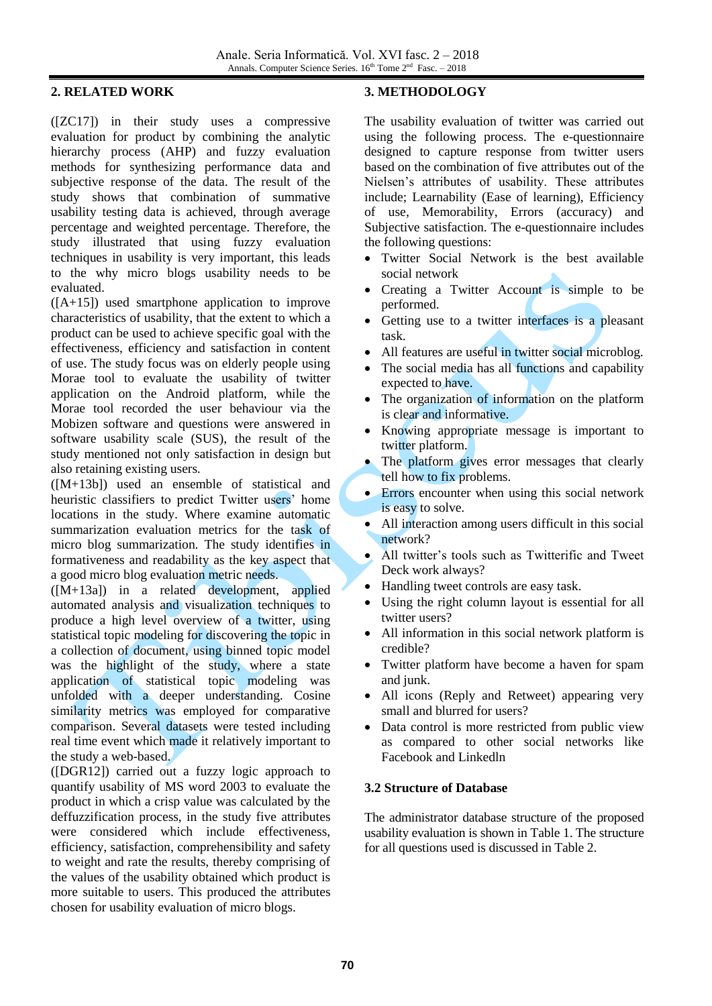# **2. RELATED WORK**

([ZC17]) in their study uses a compressive evaluation for product by combining the analytic hierarchy process (AHP) and fuzzy evaluation methods for synthesizing performance data and subjective response of the data. The result of the study shows that combination of summative usability testing data is achieved, through average percentage and weighted percentage. Therefore, the study illustrated that using fuzzy evaluation techniques in usability is very important, this leads to the why micro blogs usability needs to be evaluated.

([A+15]) used smartphone application to improve characteristics of usability, that the extent to which a product can be used to achieve specific goal with the effectiveness, efficiency and satisfaction in content of use. The study focus was on elderly people using Morae tool to evaluate the usability of twitter application on the Android platform, while the Morae tool recorded the user behaviour via the Mobizen software and questions were answered in software usability scale (SUS), the result of the study mentioned not only satisfaction in design but also retaining existing users.

([M+13b]) used an ensemble of statistical and heuristic classifiers to predict Twitter users' home locations in the study. Where examine automatic summarization evaluation metrics for the task of micro blog summarization. The study identifies in formativeness and readability as the key aspect that a good micro blog evaluation metric needs.

([M+13a]) in a related development, applied automated analysis and visualization techniques to produce a high level overview of a twitter, using statistical topic modeling for discovering the topic in a collection of document, using binned topic model was the highlight of the study, where a state application of statistical topic modeling was unfolded with a deeper understanding. Cosine similarity metrics was employed for comparative comparison. Several datasets were tested including real time event which made it relatively important to the study a web-based.

([DGR12]) carried out a fuzzy logic approach to quantify usability of MS word 2003 to evaluate the product in which a crisp value was calculated by the deffuzzification process, in the study five attributes were considered which include effectiveness, efficiency, satisfaction, comprehensibility and safety to weight and rate the results, thereby comprising of the values of the usability obtained which product is more suitable to users. This produced the attributes chosen for usability evaluation of micro blogs.

# **3. METHODOLOGY**

The usability evaluation of twitter was carried out using the following process. The e-questionnaire designed to capture response from twitter users based on the combination of five attributes out of the Nielsen's attributes of usability. These attributes include; Learnability (Ease of learning), Efficiency of use, Memorability, Errors (accuracy) and Subjective satisfaction. The e-questionnaire includes the following questions:

- Twitter Social Network is the best available social network
- Creating a Twitter Account is simple to be performed.
- Getting use to a twitter interfaces is a pleasant task.
- All features are useful in twitter social microblog.
- The social media has all functions and capability expected to have.
- The organization of information on the platform is clear and informative.
- Knowing appropriate message is important to twitter platform.
- The platform gives error messages that clearly tell how to fix problems.
- Errors encounter when using this social network is easy to solve.
- All interaction among users difficult in this social network?
- All twitter's tools such as Twitterific and Tweet Deck work always?
- Handling tweet controls are easy task.
- Using the right column layout is essential for all twitter users?
- All information in this social network platform is credible?
- Twitter platform have become a haven for spam and junk.
- All icons (Reply and Retweet) appearing very small and blurred for users?
- Data control is more restricted from public view as compared to other social networks like Facebook and Linkedln

### **3.2 Structure of Database**

The administrator database structure of the proposed usability evaluation is shown in Table 1. The structure for all questions used is discussed in Table 2.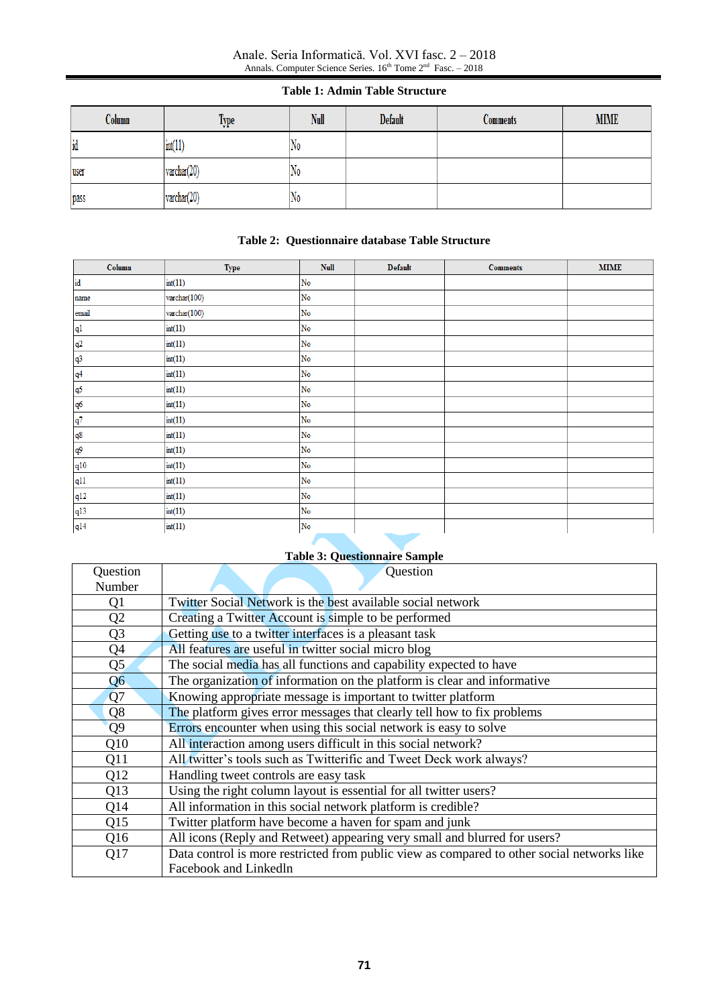#### Anale. Seria Informatică. Vol. XVI fasc. 2 – 2018 Annals. Computer Science Series.  $16<sup>th</sup>$  Tome  $2<sup>nd</sup>$  Fasc.  $-2018$

### **Table 1: Admin Table Structure**

| Column | Type                  | Null | Default | <b>Comments</b> | <b>MIME</b> |
|--------|-----------------------|------|---------|-----------------|-------------|
| id     | int(11)               | No   |         |                 |             |
| luser  | varchar(20)           | No   |         |                 |             |
| pass   | $\text{vardenar}(20)$ | No   |         |                 |             |

## **Table 2: Questionnaire database Table Structure**

| Column                                                                                                              | <b>Type</b>           | <b>Null</b>            | <b>Default</b> | <b>Comments</b> | <b>MIME</b> |
|---------------------------------------------------------------------------------------------------------------------|-----------------------|------------------------|----------------|-----------------|-------------|
| id                                                                                                                  | int(11)               | $\mathbf{No}$          |                |                 |             |
| name                                                                                                                | $\text{varchar}(100)$ | $\mathbf{N}\mathbf{o}$ |                |                 |             |
| email                                                                                                               | $\text{varchar}(100)$ | ${\rm No}$             |                |                 |             |
| q1                                                                                                                  | int(11)               | No                     |                |                 |             |
| q <sup>2</sup>                                                                                                      | int(11)               | No                     |                |                 |             |
| $\frac{q^3}{}$                                                                                                      | int(11)               | ${\rm No}$             |                |                 |             |
| q <sup>4</sup>                                                                                                      | int(11)               | ${\rm No}$             |                |                 |             |
| $\frac{q5}{2}$                                                                                                      | int(11)               | ${\rm No}$             |                |                 |             |
| q6                                                                                                                  | int(11)               | $\mathbf{N}\mathbf{o}$ |                |                 |             |
| q7                                                                                                                  | int(11)               | $\mathbf{No}$          |                |                 |             |
| q8                                                                                                                  | int(11)               | $\rm No$               |                |                 |             |
| $\frac{q9}{2}$                                                                                                      | int(11)               | ${\rm No}$             |                |                 |             |
| q10                                                                                                                 | int(11)               | $\mathbf{N}\mathbf{o}$ |                |                 |             |
|                                                                                                                     | int(11)               | $\mathbf{N}\mathbf{o}$ |                |                 |             |
|                                                                                                                     | int(11)               | $\rm No$               |                |                 |             |
| $\begin{array}{r} \n \text{q11} \\ \hline\n \text{q12} \\ \hline\n \text{q13} \\ \hline\n \text{q14}\n \end{array}$ | int(11)               | ${\rm No}$             |                |                 |             |
|                                                                                                                     | int(11)               | No                     |                |                 |             |

# **Table 3: Questionnaire Sample**

| Question       | Question                                                                                   |
|----------------|--------------------------------------------------------------------------------------------|
| Number         |                                                                                            |
| Q1             | Twitter Social Network is the best available social network                                |
| Q2             | Creating a Twitter Account is simple to be performed                                       |
| Q <sub>3</sub> | Getting use to a twitter interfaces is a pleasant task                                     |
| Q4             | All features are useful in twitter social micro blog                                       |
| Q <sub>5</sub> | The social media has all functions and capability expected to have                         |
| Q <sub>6</sub> | The organization of information on the platform is clear and informative                   |
| Q7             | Knowing appropriate message is important to twitter platform                               |
| Q <sub>8</sub> | The platform gives error messages that clearly tell how to fix problems                    |
| Q <sub>9</sub> | Errors encounter when using this social network is easy to solve                           |
| Q10            | All interaction among users difficult in this social network?                              |
| Q11            | All twitter's tools such as Twitterific and Tweet Deck work always?                        |
| Q12            | Handling tweet controls are easy task                                                      |
| Q13            | Using the right column layout is essential for all twitter users?                          |
| Q14            | All information in this social network platform is credible?                               |
| Q15            | Twitter platform have become a haven for spam and junk                                     |
| Q16            | All icons (Reply and Retweet) appearing very small and blurred for users?                  |
| Q17            | Data control is more restricted from public view as compared to other social networks like |
|                | Facebook and Linkedln                                                                      |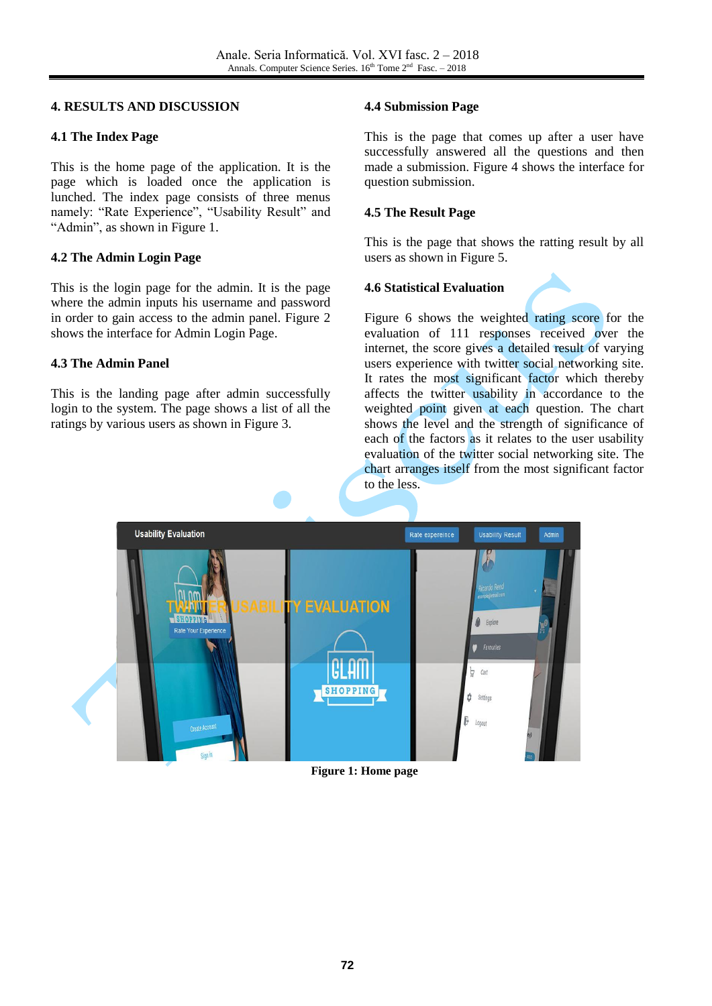## **4. RESULTS AND DISCUSSION**

## **4.1 The Index Page**

This is the home page of the application. It is the page which is loaded once the application is lunched. The index page consists of three menus namely: "Rate Experience", "Usability Result" and "Admin", as shown in Figure 1.

# **4.2 The Admin Login Page**

This is the login page for the admin. It is the page where the admin inputs his username and password in order to gain access to the admin panel. Figure 2 shows the interface for Admin Login Page.

# **4.3 The Admin Panel**

This is the landing page after admin successfully login to the system. The page shows a list of all the ratings by various users as shown in Figure 3.

# **4.4 Submission Page**

This is the page that comes up after a user have successfully answered all the questions and then made a submission. Figure 4 shows the interface for question submission.

# **4.5 The Result Page**

This is the page that shows the ratting result by all users as shown in Figure 5.

# **4.6 Statistical Evaluation**

Figure 6 shows the weighted rating score for the evaluation of 111 responses received over the internet, the score gives a detailed result of varying users experience with twitter social networking site. It rates the most significant factor which thereby affects the twitter usability in accordance to the weighted point given at each question. The chart shows the level and the strength of significance of each of the factors as it relates to the user usability evaluation of the twitter social networking site. The chart arranges itself from the most significant factor to the less.



### **Figure 1: Home page**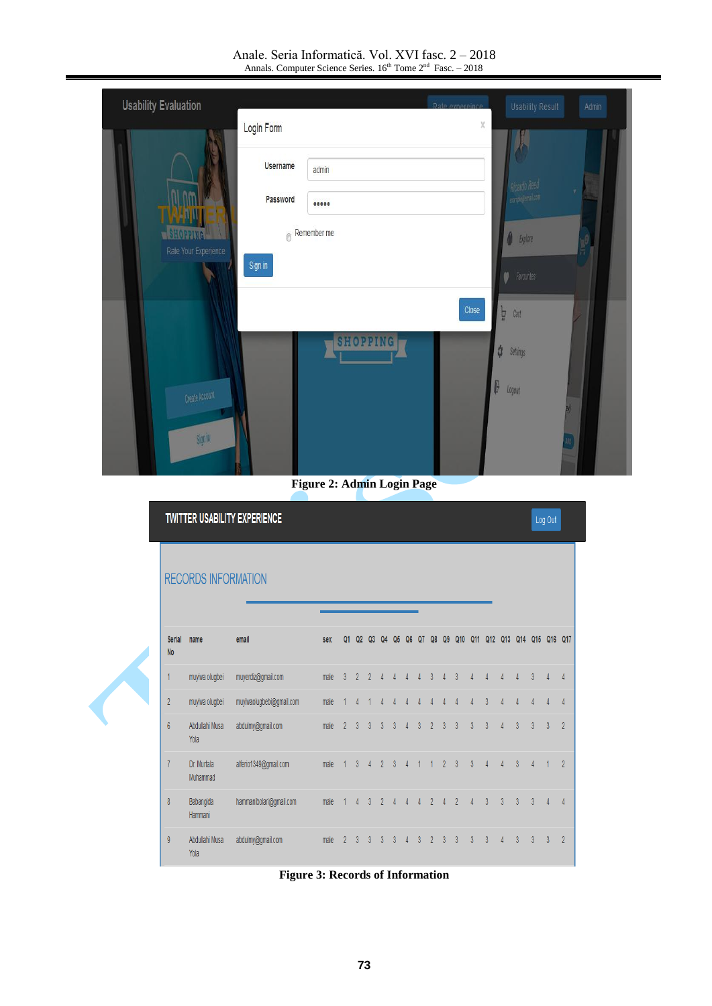Anale. Seria Informatică. Vol. XVI fasc. 2 – 2018 Annals. Computer Science Series.  $16<sup>th</sup>$  Tome  $2<sup>nd</sup>$  Fasc.  $-2018$ 

| <b>Usability Evaluation</b> |                 |                     | Rate expereince | <b>Usability Result</b> | Admin |
|-----------------------------|-----------------|---------------------|-----------------|-------------------------|-------|
|                             | Login Form      |                     | X               |                         |       |
|                             | <b>Username</b> | admin               |                 |                         |       |
|                             | Password        |                     |                 | Ricardo Reed            | y.    |
| Rate Your Experience        |                 | $\odot$ Remember me |                 | <b>A</b> Explore        | Ø     |
|                             | Sign in         |                     |                 | <b>P</b> Favourites     |       |
|                             |                 |                     | Close           | Þ<br>Cart               |       |
|                             |                 | <b>SHOPPING</b>     |                 | 0<br>Settings           |       |
| Create Account              |                 |                     | ŀ               | Logout                  |       |
|                             |                 |                     |                 |                         |       |
| Signin                      |                 |                     |                 |                         | 400   |

**Figure 2: Admin Login Page**

|                            | <b>TWITTER USABILITY EXPERIENCE</b> |                          |      |                |                |                |                          |                |                |                | Log Out        |                |                |                |                |                |                |                |                |                |  |
|----------------------------|-------------------------------------|--------------------------|------|----------------|----------------|----------------|--------------------------|----------------|----------------|----------------|----------------|----------------|----------------|----------------|----------------|----------------|----------------|----------------|----------------|----------------|--|
|                            | <b>RECORDS INFORMATION</b>          |                          |      |                |                |                |                          |                |                |                |                |                |                |                |                |                |                |                |                |                |  |
| <b>Serial</b><br><b>No</b> | name                                | email                    | sex  | Q1             | Q2             | Q <sub>3</sub> | Q4                       | Q5             | Q6             | Q <sub>7</sub> | Q8             | Q9             | Q10            |                | Q11 Q12 Q13    |                | Q14            |                | Q15 Q16 Q17    |                |  |
| 1                          | muyiwa olugbei                      | muyerdiz@gmail.com       | male | $\overline{3}$ | $\overline{2}$ | $\overline{2}$ | 4                        | 4              | $\Delta$       | $\Lambda$      | 3              |                | 3              | Δ              | $\overline{4}$ | $\Delta$       | $\overline{4}$ | $\overline{3}$ |                | $\overline{4}$ |  |
| $\overline{2}$             | muyiwa olugbei                      | muyiwaolugbebi@gmail.com | male |                |                |                |                          |                |                |                |                |                |                |                | 3              |                | $\Lambda$      | $\overline{4}$ |                | $\overline{4}$ |  |
| $6\phantom{a}$             | Abdullahi Musa<br>Yola              | abdulmy@gmail.com        | male | $\overline{2}$ | 3              | 3              | $\overline{3}$           | $\overline{3}$ | Δ              | $\overline{3}$ | $\overline{2}$ | $\overline{3}$ | $\overline{3}$ | $\overline{3}$ | $\overline{3}$ | $\Delta$       | $\overline{3}$ | $\overline{3}$ | $\overline{3}$ | $\overline{2}$ |  |
| $\overline{1}$             | Dr. Murtala<br>Muhammad             | alferio1349@gmail.com    | male |                | $\overline{3}$ | 4              | $\overline{2}$           | 3              | $\overline{A}$ |                |                | $\overline{2}$ | 3              | $\overline{3}$ | $\Delta$       | $\overline{4}$ | $\overline{3}$ | 4              |                | $\overline{2}$ |  |
| $\bf 8$                    | Babangida<br>Hammani                | hammanibolari@gmail.com  | male |                | $\Lambda$      | 3              | $\overline{\phantom{a}}$ |                |                |                | 2              |                | $\overline{2}$ | Δ              | $\overline{3}$ | $\overline{3}$ | 3              | 3              |                | $\overline{4}$ |  |
| $\mathfrak g$              | Abdullahi Musa<br>Yola              | abdulmy@gmail.com        | male | $\overline{2}$ | 3              | 3              | 3                        | 3              |                | 3              | 2              | 3              | 3              | 3              | 3              |                | $\overline{3}$ | 3              | 3              | $\overline{2}$ |  |

**Figure 3: Records of Information**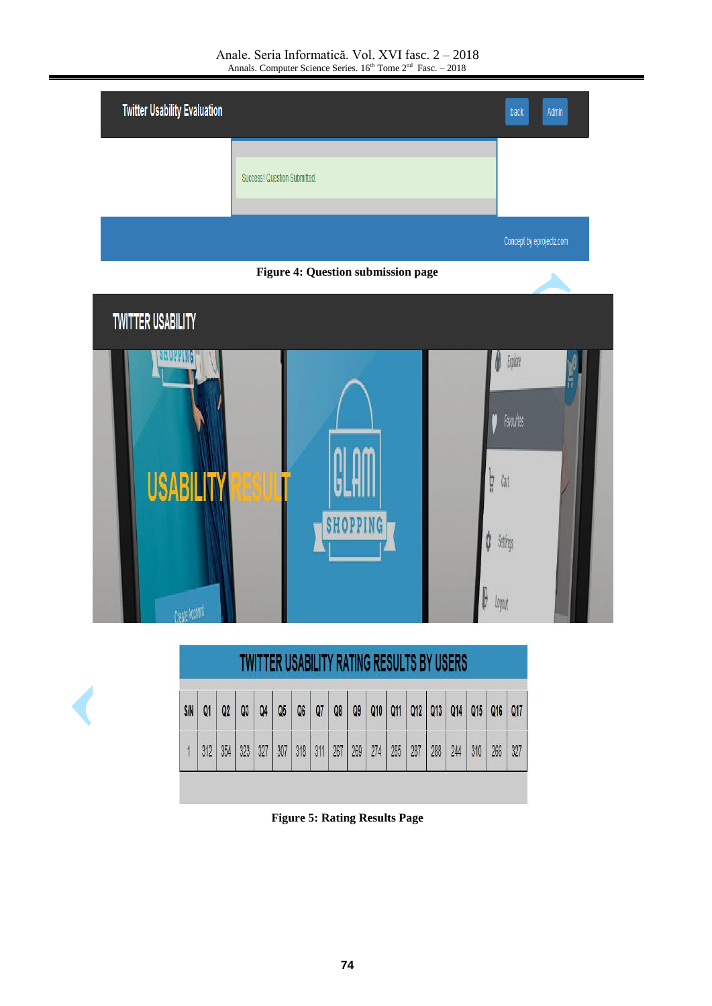Anale. Seria Informatică. Vol. XVI fasc. 2 – 2018 Annals. Computer Science Series.  $16<sup>th</sup>$  Tome  $2<sup>nd</sup>$  Fasc.  $-2018$ 

| <b>Twitter Usability Evaluation</b> |                              | back                     | Admin |
|-------------------------------------|------------------------------|--------------------------|-------|
|                                     | Success! Question Submitted. |                          |       |
|                                     |                              | Concept by eprojectz.com |       |





| <b>S/N</b> | Q <sub>1</sub> | Q <sub>2</sub> | Q3  | 04  | Q5  | Q6  | Q7  | Q8  | Q9  |     | Q10   Q11 |     | $Q12$ $Q13$ | Q14 | Q15 Q16 |
|------------|----------------|----------------|-----|-----|-----|-----|-----|-----|-----|-----|-----------|-----|-------------|-----|---------|
|            |                |                |     |     |     |     |     |     |     |     |           |     |             |     |         |
|            | 312            | 354            | 323 | 327 | 307 | 318 | 311 | 267 | 269 | 274 | 285       | 287 | 288         | 244 | 310     |

**Figure 5: Rating Results Page**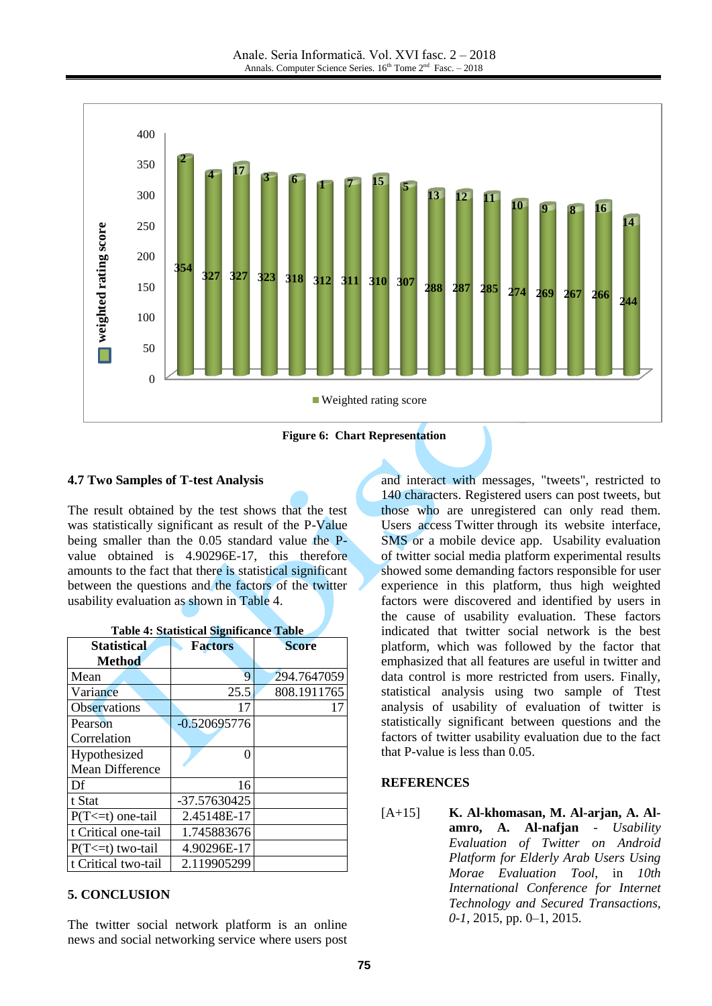

#### **4.7 Two Samples of T-test Analysis**

The result obtained by the test shows that the test was statistically significant as result of the P-Value being smaller than the 0.05 standard value the Pvalue obtained is 4.90296E-17, this therefore amounts to the fact that there is statistical significant between the questions and the factors of the twitter usability evaluation as shown in Table 4.

| Statistical            | <b>Factors</b> | <b>Score</b> |
|------------------------|----------------|--------------|
| Method                 |                |              |
| Mean                   | 9              | 294.7647059  |
| Variance               | 25.5           | 808.1911765  |
| <b>Observations</b>    | 17             | 17           |
| Pearson                | $-0.520695776$ |              |
| Correlation            |                |              |
| Hypothesized           | 0              |              |
| <b>Mean Difference</b> |                |              |
| Df                     | 16             |              |
| t Stat                 | -37.57630425   |              |
| $P(T \le t)$ one-tail  | 2.45148E-17    |              |
| t Critical one-tail    | 1.745883676    |              |
| $P(T \le t)$ two-tail  | 4.90296E-17    |              |
| t Critical two-tail    | 2.119905299    |              |

|  | <b>Table 4: Statistical Significance Table</b> |  |
|--|------------------------------------------------|--|
|  |                                                |  |

#### **5. CONCLUSION**

The twitter social network platform is an online news and social networking service where users post and interact with messages, "tweets", restricted to 140 characters. Registered users can post tweets, but those who are unregistered can only read them. Users access Twitter through its website interface, SMS or a mobile device app. Usability evaluation of twitter social media platform experimental results showed some demanding factors responsible for user experience in this platform, thus high weighted factors were discovered and identified by users in the cause of usability evaluation. These factors indicated that twitter social network is the best platform, which was followed by the factor that emphasized that all features are useful in twitter and data control is more restricted from users. Finally, statistical analysis using two sample of Ttest analysis of usability of evaluation of twitter is statistically significant between questions and the factors of twitter usability evaluation due to the fact that P-value is less than 0.05.

#### **REFERENCES**

[A+15] **K. Al-khomasan, M. Al-arjan, A. Alamro, A. Al-nafjan** - *Usability Evaluation of Twitter on Android Platform for Elderly Arab Users Using Morae Evaluation Tool*, in *10th International Conference for Internet Technology and Secured Transactions, 0-1*, 2015, pp. 0–1, 2015.